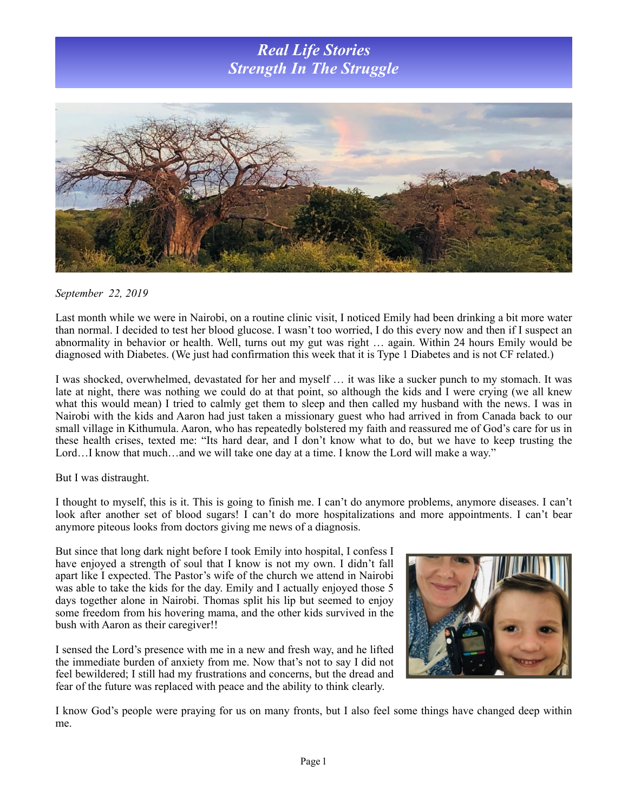## *Real Life Stories Strength In The Struggle*



## *September 22, 2019*

Last month while we were in Nairobi, on a routine clinic visit, I noticed Emily had been drinking a bit more water than normal. I decided to test her blood glucose. I wasn't too worried, I do this every now and then if I suspect an abnormality in behavior or health. Well, turns out my gut was right … again. Within 24 hours Emily would be diagnosed with Diabetes. (We just had confirmation this week that it is Type 1 Diabetes and is not CF related.)

I was shocked, overwhelmed, devastated for her and myself … it was like a sucker punch to my stomach. It was late at night, there was nothing we could do at that point, so although the kids and I were crying (we all knew what this would mean) I tried to calmly get them to sleep and then called my husband with the news. I was in Nairobi with the kids and Aaron had just taken a missionary guest who had arrived in from Canada back to our small village in Kithumula. Aaron, who has repeatedly bolstered my faith and reassured me of God's care for us in these health crises, texted me: "Its hard dear, and I don't know what to do, but we have to keep trusting the Lord...I know that much...and we will take one day at a time. I know the Lord will make a way."

But I was distraught.

I thought to myself, this is it. This is going to finish me. I can't do anymore problems, anymore diseases. I can't look after another set of blood sugars! I can't do more hospitalizations and more appointments. I can't bear anymore piteous looks from doctors giving me news of a diagnosis.

But since that long dark night before I took Emily into hospital, I confess I have enjoyed a strength of soul that I know is not my own. I didn't fall apart like I expected. The Pastor's wife of the church we attend in Nairobi was able to take the kids for the day. Emily and I actually enjoyed those 5 days together alone in Nairobi. Thomas split his lip but seemed to enjoy some freedom from his hovering mama, and the other kids survived in the bush with Aaron as their caregiver!!

I sensed the Lord's presence with me in a new and fresh way, and he lifted the immediate burden of anxiety from me. Now that's not to say I did not feel bewildered; I still had my frustrations and concerns, but the dread and fear of the future was replaced with peace and the ability to think clearly.



I know God's people were praying for us on many fronts, but I also feel some things have changed deep within me.